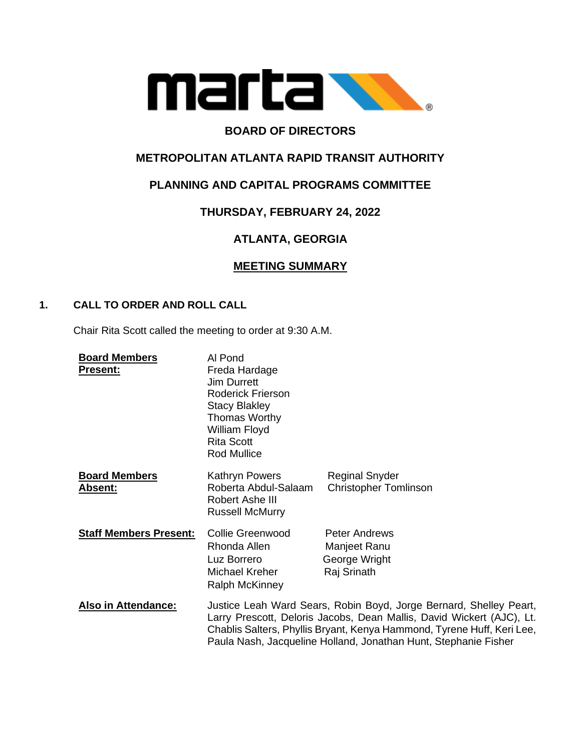

# **BOARD OF DIRECTORS**

# **METROPOLITAN ATLANTA RAPID TRANSIT AUTHORITY**

## **PLANNING AND CAPITAL PROGRAMS COMMITTEE**

## **THURSDAY, FEBRUARY 24, 2022**

## **ATLANTA, GEORGIA**

## **MEETING SUMMARY**

### **1. CALL TO ORDER AND ROLL CALL**

Chair Rita Scott called the meeting to order at 9:30 A.M.

| <b>Board Members</b><br><b>Present:</b> | Al Pond<br>Freda Hardage<br><b>Jim Durrett</b><br><b>Roderick Frierson</b><br><b>Stacy Blakley</b><br>Thomas Worthy<br>William Floyd<br><b>Rita Scott</b><br>Rod Mullice                                                                                                                 |                                                                      |
|-----------------------------------------|------------------------------------------------------------------------------------------------------------------------------------------------------------------------------------------------------------------------------------------------------------------------------------------|----------------------------------------------------------------------|
| <b>Board Members</b><br><b>Absent:</b>  | Kathryn Powers<br>Roberta Abdul-Salaam<br>Robert Ashe III<br><b>Russell McMurry</b>                                                                                                                                                                                                      | <b>Reginal Snyder</b><br><b>Christopher Tomlinson</b>                |
| <b>Staff Members Present:</b>           | <b>Collie Greenwood</b><br>Rhonda Allen<br>Luz Borrero<br>Michael Kreher<br><b>Ralph McKinney</b>                                                                                                                                                                                        | <b>Peter Andrews</b><br>Manjeet Ranu<br>George Wright<br>Raj Srinath |
| <b>Also in Attendance:</b>              | Justice Leah Ward Sears, Robin Boyd, Jorge Bernard, Shelley Peart,<br>Larry Prescott, Deloris Jacobs, Dean Mallis, David Wickert (AJC), Lt.<br>Chablis Salters, Phyllis Bryant, Kenya Hammond, Tyrene Huff, Keri Lee,<br>Paula Nash, Jacqueline Holland, Jonathan Hunt, Stephanie Fisher |                                                                      |